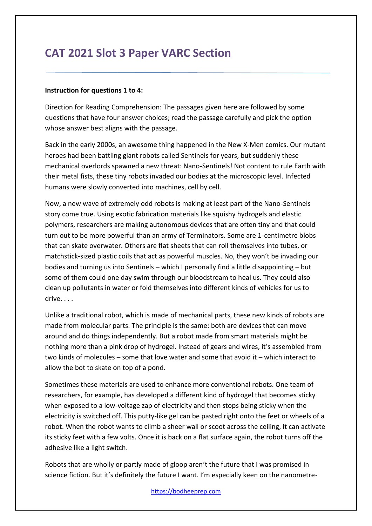# **CAT 2021 Slot 3 Paper VARC Section**

#### **Instruction for questions 1 to 4:**

Direction for Reading Comprehension: The passages given here are followed by some questions that have four answer choices; read the passage carefully and pick the option whose answer best aligns with the passage.

Back in the early 2000s, an awesome thing happened in the New X-Men comics. Our mutant heroes had been battling giant robots called Sentinels for years, but suddenly these mechanical overlords spawned a new threat: Nano-Sentinels! Not content to rule Earth with their metal fists, these tiny robots invaded our bodies at the microscopic level. Infected humans were slowly converted into machines, cell by cell.

Now, a new wave of extremely odd robots is making at least part of the Nano-Sentinels story come true. Using exotic fabrication materials like squishy hydrogels and elastic polymers, researchers are making autonomous devices that are often tiny and that could turn out to be more powerful than an army of Terminators. Some are 1-centimetre blobs that can skate overwater. Others are flat sheets that can roll themselves into tubes, or matchstick-sized plastic coils that act as powerful muscles. No, they won't be invading our bodies and turning us into Sentinels – which I personally find a little disappointing – but some of them could one day swim through our bloodstream to heal us. They could also clean up pollutants in water or fold themselves into different kinds of vehicles for us to drive. . . .

Unlike a traditional robot, which is made of mechanical parts, these new kinds of robots are made from molecular parts. The principle is the same: both are devices that can move around and do things independently. But a robot made from smart materials might be nothing more than a pink drop of hydrogel. Instead of gears and wires, it's assembled from two kinds of molecules – some that love water and some that avoid it – which interact to allow the bot to skate on top of a pond.

Sometimes these materials are used to enhance more conventional robots. One team of researchers, for example, has developed a different kind of hydrogel that becomes sticky when exposed to a low-voltage zap of electricity and then stops being sticky when the electricity is switched off. This putty-like gel can be pasted right onto the feet or wheels of a robot. When the robot wants to climb a sheer wall or scoot across the ceiling, it can activate its sticky feet with a few volts. Once it is back on a flat surface again, the robot turns off the adhesive like a light switch.

Robots that are wholly or partly made of gloop aren't the future that I was promised in science fiction. But it's definitely the future I want. I'm especially keen on the nanometre-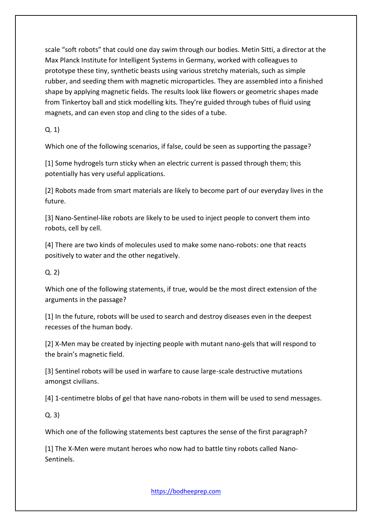scale "soft robots" that could one day swim through our bodies. Metin Sitti, a director at the Max Planck Institute for Intelligent Systems in Germany, worked with colleagues to prototype these tiny, synthetic beasts using various stretchy materials, such as simple rubber, and seeding them with magnetic microparticles. They are assembled into a finished shape by applying magnetic fields. The results look like flowers or geometric shapes made from Tinkertoy ball and stick modelling kits. They're guided through tubes of fluid using magnets, and can even stop and cling to the sides of a tube.

Q. 1)

Which one of the following scenarios, if false, could be seen as supporting the passage?

[1] Some hydrogels turn sticky when an electric current is passed through them; this potentially has very useful applications.

[2] Robots made from smart materials are likely to become part of our everyday lives in the future.

[3] Nano-Sentinel-like robots are likely to be used to inject people to convert them into robots, cell by cell.

[4] There are two kinds of molecules used to make some nano-robots: one that reacts positively to water and the other negatively.

Q. 2)

Which one of the following statements, if true, would be the most direct extension of the arguments in the passage?

[1] In the future, robots will be used to search and destroy diseases even in the deepest recesses of the human body.

[2] X-Men may be created by injecting people with mutant nano-gels that will respond to the brain's magnetic field.

[3] Sentinel robots will be used in warfare to cause large-scale destructive mutations amongst civilians.

[4] 1-centimetre blobs of gel that have nano-robots in them will be used to send messages.

Q. 3)

Which one of the following statements best captures the sense of the first paragraph?

[1] The X-Men were mutant heroes who now had to battle tiny robots called Nano-Sentinels.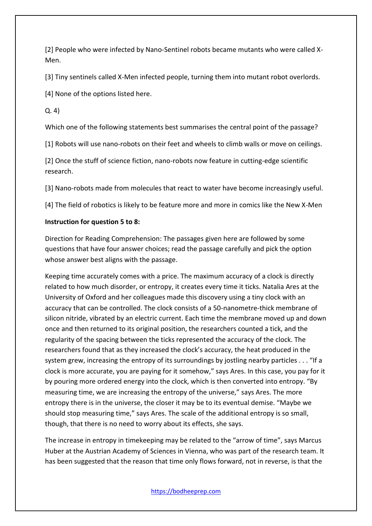[2] People who were infected by Nano-Sentinel robots became mutants who were called X-Men.

[3] Tiny sentinels called X-Men infected people, turning them into mutant robot overlords.

[4] None of the options listed here.

Q. 4)

Which one of the following statements best summarises the central point of the passage?

[1] Robots will use nano-robots on their feet and wheels to climb walls or move on ceilings.

[2] Once the stuff of science fiction, nano-robots now feature in cutting-edge scientific research.

[3] Nano-robots made from molecules that react to water have become increasingly useful.

[4] The field of robotics is likely to be feature more and more in comics like the New X-Men

#### **Instruction for question 5 to 8:**

Direction for Reading Comprehension: The passages given here are followed by some questions that have four answer choices; read the passage carefully and pick the option whose answer best aligns with the passage.

Keeping time accurately comes with a price. The maximum accuracy of a clock is directly related to how much disorder, or entropy, it creates every time it ticks. Natalia Ares at the University of Oxford and her colleagues made this discovery using a tiny clock with an accuracy that can be controlled. The clock consists of a 50-nanometre-thick membrane of silicon nitride, vibrated by an electric current. Each time the membrane moved up and down once and then returned to its original position, the researchers counted a tick, and the regularity of the spacing between the ticks represented the accuracy of the clock. The researchers found that as they increased the clock's accuracy, the heat produced in the system grew, increasing the entropy of its surroundings by jostling nearby particles . . . "If a clock is more accurate, you are paying for it somehow," says Ares. In this case, you pay for it by pouring more ordered energy into the clock, which is then converted into entropy. "By measuring time, we are increasing the entropy of the universe," says Ares. The more entropy there is in the universe, the closer it may be to its eventual demise. "Maybe we should stop measuring time," says Ares. The scale of the additional entropy is so small, though, that there is no need to worry about its effects, she says.

The increase in entropy in timekeeping may be related to the "arrow of time", says Marcus Huber at the Austrian Academy of Sciences in Vienna, who was part of the research team. It has been suggested that the reason that time only flows forward, not in reverse, is that the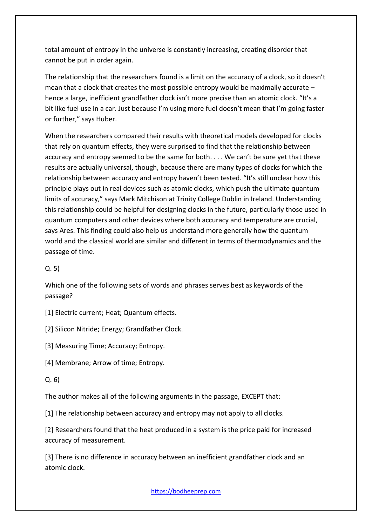total amount of entropy in the universe is constantly increasing, creating disorder that cannot be put in order again.

The relationship that the researchers found is a limit on the accuracy of a clock, so it doesn't mean that a clock that creates the most possible entropy would be maximally accurate – hence a large, inefficient grandfather clock isn't more precise than an atomic clock. "It's a bit like fuel use in a car. Just because I'm using more fuel doesn't mean that I'm going faster or further," says Huber.

When the researchers compared their results with theoretical models developed for clocks that rely on quantum effects, they were surprised to find that the relationship between accuracy and entropy seemed to be the same for both. . . . We can't be sure yet that these results are actually universal, though, because there are many types of clocks for which the relationship between accuracy and entropy haven't been tested. "It's still unclear how this principle plays out in real devices such as atomic clocks, which push the ultimate quantum limits of accuracy," says Mark Mitchison at Trinity College Dublin in Ireland. Understanding this relationship could be helpful for designing clocks in the future, particularly those used in quantum computers and other devices where both accuracy and temperature are crucial, says Ares. This finding could also help us understand more generally how the quantum world and the classical world are similar and different in terms of thermodynamics and the passage of time.

Q. 5)

Which one of the following sets of words and phrases serves best as keywords of the passage?

[1] Electric current; Heat; Quantum effects.

[2] Silicon Nitride; Energy; Grandfather Clock.

[3] Measuring Time; Accuracy; Entropy.

[4] Membrane; Arrow of time; Entropy.

Q. 6)

The author makes all of the following arguments in the passage, EXCEPT that:

[1] The relationship between accuracy and entropy may not apply to all clocks.

[2] Researchers found that the heat produced in a system is the price paid for increased accuracy of measurement.

[3] There is no difference in accuracy between an inefficient grandfather clock and an atomic clock.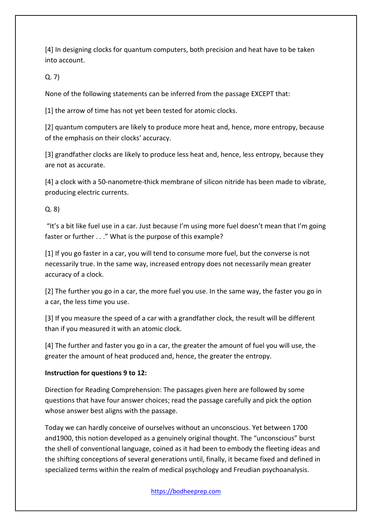[4] In designing clocks for quantum computers, both precision and heat have to be taken into account.

Q. 7)

None of the following statements can be inferred from the passage EXCEPT that:

[1] the arrow of time has not yet been tested for atomic clocks.

[2] quantum computers are likely to produce more heat and, hence, more entropy, because of the emphasis on their clocks' accuracy.

[3] grandfather clocks are likely to produce less heat and, hence, less entropy, because they are not as accurate.

[4] a clock with a 50-nanometre-thick membrane of silicon nitride has been made to vibrate, producing electric currents.

## Q. 8)

"It's a bit like fuel use in a car. Just because I'm using more fuel doesn't mean that I'm going faster or further . . ." What is the purpose of this example?

[1] If you go faster in a car, you will tend to consume more fuel, but the converse is not necessarily true. In the same way, increased entropy does not necessarily mean greater accuracy of a clock.

[2] The further you go in a car, the more fuel you use. In the same way, the faster you go in a car, the less time you use.

[3] If you measure the speed of a car with a grandfather clock, the result will be different than if you measured it with an atomic clock.

[4] The further and faster you go in a car, the greater the amount of fuel you will use, the greater the amount of heat produced and, hence, the greater the entropy.

## **Instruction for questions 9 to 12:**

Direction for Reading Comprehension: The passages given here are followed by some questions that have four answer choices; read the passage carefully and pick the option whose answer best aligns with the passage.

Today we can hardly conceive of ourselves without an unconscious. Yet between 1700 and1900, this notion developed as a genuinely original thought. The "unconscious" burst the shell of conventional language, coined as it had been to embody the fleeting ideas and the shifting conceptions of several generations until, finally, it became fixed and defined in specialized terms within the realm of medical psychology and Freudian psychoanalysis.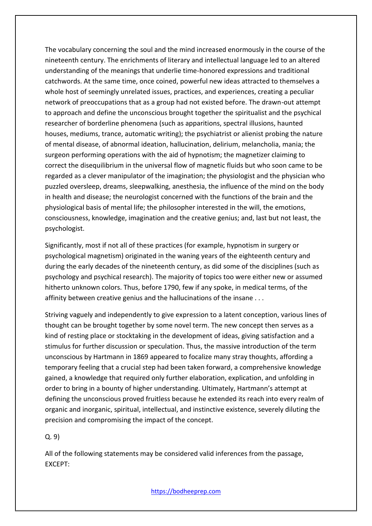The vocabulary concerning the soul and the mind increased enormously in the course of the nineteenth century. The enrichments of literary and intellectual language led to an altered understanding of the meanings that underlie time-honored expressions and traditional catchwords. At the same time, once coined, powerful new ideas attracted to themselves a whole host of seemingly unrelated issues, practices, and experiences, creating a peculiar network of preoccupations that as a group had not existed before. The drawn-out attempt to approach and define the unconscious brought together the spiritualist and the psychical researcher of borderline phenomena (such as apparitions, spectral illusions, haunted houses, mediums, trance, automatic writing); the psychiatrist or alienist probing the nature of mental disease, of abnormal ideation, hallucination, delirium, melancholia, mania; the surgeon performing operations with the aid of hypnotism; the magnetizer claiming to correct the disequilibrium in the universal flow of magnetic fluids but who soon came to be regarded as a clever manipulator of the imagination; the physiologist and the physician who puzzled oversleep, dreams, sleepwalking, anesthesia, the influence of the mind on the body in health and disease; the neurologist concerned with the functions of the brain and the physiological basis of mental life; the philosopher interested in the will, the emotions, consciousness, knowledge, imagination and the creative genius; and, last but not least, the psychologist.

Significantly, most if not all of these practices (for example, hypnotism in surgery or psychological magnetism) originated in the waning years of the eighteenth century and during the early decades of the nineteenth century, as did some of the disciplines (such as psychology and psychical research). The majority of topics too were either new or assumed hitherto unknown colors. Thus, before 1790, few if any spoke, in medical terms, of the affinity between creative genius and the hallucinations of the insane . . .

Striving vaguely and independently to give expression to a latent conception, various lines of thought can be brought together by some novel term. The new concept then serves as a kind of resting place or stocktaking in the development of ideas, giving satisfaction and a stimulus for further discussion or speculation. Thus, the massive introduction of the term unconscious by Hartmann in 1869 appeared to focalize many stray thoughts, affording a temporary feeling that a crucial step had been taken forward, a comprehensive knowledge gained, a knowledge that required only further elaboration, explication, and unfolding in order to bring in a bounty of higher understanding. Ultimately, Hartmann's attempt at defining the unconscious proved fruitless because he extended its reach into every realm of organic and inorganic, spiritual, intellectual, and instinctive existence, severely diluting the precision and compromising the impact of the concept.

Q. 9)

All of the following statements may be considered valid inferences from the passage, EXCEPT: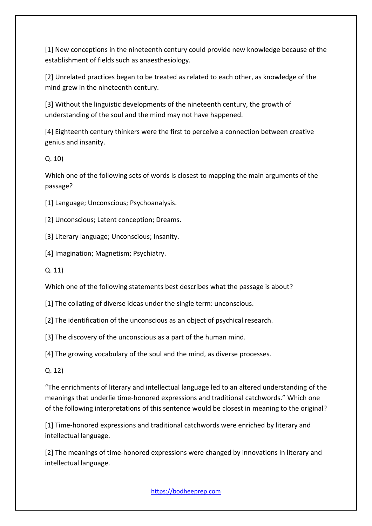[1] New conceptions in the nineteenth century could provide new knowledge because of the establishment of fields such as anaesthesiology.

[2] Unrelated practices began to be treated as related to each other, as knowledge of the mind grew in the nineteenth century.

[3] Without the linguistic developments of the nineteenth century, the growth of understanding of the soul and the mind may not have happened.

[4] Eighteenth century thinkers were the first to perceive a connection between creative genius and insanity.

Q. 10)

Which one of the following sets of words is closest to mapping the main arguments of the passage?

[1] Language; Unconscious; Psychoanalysis.

[2] Unconscious; Latent conception; Dreams.

[3] Literary language; Unconscious; Insanity.

[4] Imagination; Magnetism; Psychiatry.

Q. 11)

Which one of the following statements best describes what the passage is about?

[1] The collating of diverse ideas under the single term: unconscious.

[2] The identification of the unconscious as an object of psychical research.

[3] The discovery of the unconscious as a part of the human mind.

[4] The growing vocabulary of the soul and the mind, as diverse processes.

Q. 12)

"The enrichments of literary and intellectual language led to an altered understanding of the meanings that underlie time-honored expressions and traditional catchwords." Which one of the following interpretations of this sentence would be closest in meaning to the original?

[1] Time-honored expressions and traditional catchwords were enriched by literary and intellectual language.

[2] The meanings of time-honored expressions were changed by innovations in literary and intellectual language.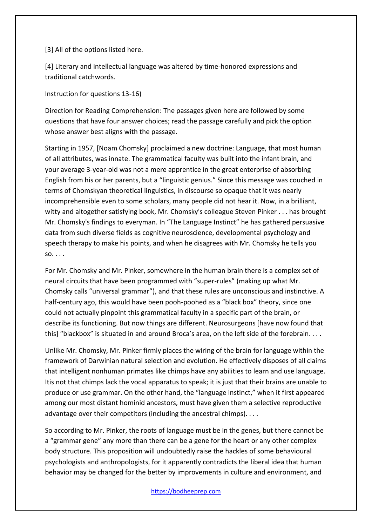[3] All of the options listed here.

[4] Literary and intellectual language was altered by time-honored expressions and traditional catchwords.

Instruction for questions 13-16)

Direction for Reading Comprehension: The passages given here are followed by some questions that have four answer choices; read the passage carefully and pick the option whose answer best aligns with the passage.

Starting in 1957, [Noam Chomsky] proclaimed a new doctrine: Language, that most human of all attributes, was innate. The grammatical faculty was built into the infant brain, and your average 3-year-old was not a mere apprentice in the great enterprise of absorbing English from his or her parents, but a "linguistic genius." Since this message was couched in terms of Chomskyan theoretical linguistics, in discourse so opaque that it was nearly incomprehensible even to some scholars, many people did not hear it. Now, in a brilliant, witty and altogether satisfying book, Mr. Chomsky's colleague Steven Pinker . . . has brought Mr. Chomsky's findings to everyman. In "The Language Instinct" he has gathered persuasive data from such diverse fields as cognitive neuroscience, developmental psychology and speech therapy to make his points, and when he disagrees with Mr. Chomsky he tells you so. . . .

For Mr. Chomsky and Mr. Pinker, somewhere in the human brain there is a complex set of neural circuits that have been programmed with "super-rules" (making up what Mr. Chomsky calls "universal grammar"), and that these rules are unconscious and instinctive. A half-century ago, this would have been pooh-poohed as a "black box" theory, since one could not actually pinpoint this grammatical faculty in a specific part of the brain, or describe its functioning. But now things are different. Neurosurgeons [have now found that this] "blackbox" is situated in and around Broca's area, on the left side of the forebrain. . . .

Unlike Mr. Chomsky, Mr. Pinker firmly places the wiring of the brain for language within the framework of Darwinian natural selection and evolution. He effectively disposes of all claims that intelligent nonhuman primates like chimps have any abilities to learn and use language. Itis not that chimps lack the vocal apparatus to speak; it is just that their brains are unable to produce or use grammar. On the other hand, the "language instinct," when it first appeared among our most distant hominid ancestors, must have given them a selective reproductive advantage over their competitors (including the ancestral chimps). . . .

So according to Mr. Pinker, the roots of language must be in the genes, but there cannot be a "grammar gene" any more than there can be a gene for the heart or any other complex body structure. This proposition will undoubtedly raise the hackles of some behavioural psychologists and anthropologists, for it apparently contradicts the liberal idea that human behavior may be changed for the better by improvements in culture and environment, and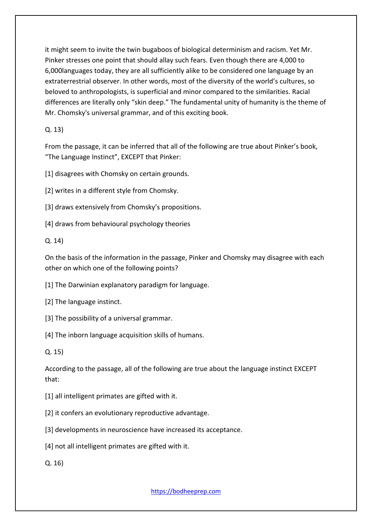it might seem to invite the twin bugaboos of biological determinism and racism. Yet Mr. Pinker stresses one point that should allay such fears. Even though there are 4,000 to 6,000languages today, they are all sufficiently alike to be considered one language by an extraterrestrial observer. In other words, most of the diversity of the world's cultures, so beloved to anthropologists, is superficial and minor compared to the similarities. Racial differences are literally only "skin deep." The fundamental unity of humanity is the theme of Mr. Chomsky's universal grammar, and of this exciting book.

## Q. 13)

From the passage, it can be inferred that all of the following are true about Pinker's book, "The Language Instinct", EXCEPT that Pinker:

[1] disagrees with Chomsky on certain grounds.

[2] writes in a different style from Chomsky.

[3] draws extensively from Chomsky's propositions.

[4] draws from behavioural psychology theories

## Q. 14)

On the basis of the information in the passage, Pinker and Chomsky may disagree with each other on which one of the following points?

[1] The Darwinian explanatory paradigm for language.

- [2] The language instinct.
- [3] The possibility of a universal grammar.

[4] The inborn language acquisition skills of humans.

Q. 15)

According to the passage, all of the following are true about the language instinct EXCEPT that:

[1] all intelligent primates are gifted with it.

[2] it confers an evolutionary reproductive advantage.

[3] developments in neuroscience have increased its acceptance.

[4] not all intelligent primates are gifted with it.

Q. 16)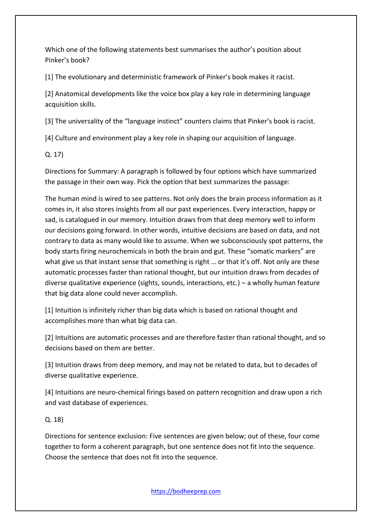Which one of the following statements best summarises the author's position about Pinker's book?

[1] The evolutionary and deterministic framework of Pinker's book makes it racist.

[2] Anatomical developments like the voice box play a key role in determining language acquisition skills.

[3] The universality of the "language instinct" counters claims that Pinker's book is racist.

[4] Culture and environment play a key role in shaping our acquisition of language.

Q. 17)

Directions for Summary: A paragraph is followed by four options which have summarized the passage in their own way. Pick the option that best summarizes the passage:

The human mind is wired to see patterns. Not only does the brain process information as it comes in, it also stores insights from all our past experiences. Every interaction, happy or sad, is catalogued in our memory. Intuition draws from that deep memory well to inform our decisions going forward. In other words, intuitive decisions are based on data, and not contrary to data as many would like to assume. When we subconsciously spot patterns, the body starts firing neurochemicals in both the brain and gut. These "somatic markers" are what give us that instant sense that something is right ... or that it's off. Not only are these automatic processes faster than rational thought, but our intuition draws from decades of diverse qualitative experience (sights, sounds, interactions, etc.) – a wholly human feature that big data alone could never accomplish.

[1] Intuition is infinitely richer than big data which is based on rational thought and accomplishes more than what big data can.

[2] Intuitions are automatic processes and are therefore faster than rational thought, and so decisions based on them are better.

[3] Intuition draws from deep memory, and may not be related to data, but to decades of diverse qualitative experience.

[4] Intuitions are neuro-chemical firings based on pattern recognition and draw upon a rich and vast database of experiences.

Q. 18)

Directions for sentence exclusion: Five sentences are given below; out of these, four come together to form a coherent paragraph, but one sentence does not fit into the sequence. Choose the sentence that does not fit into the sequence.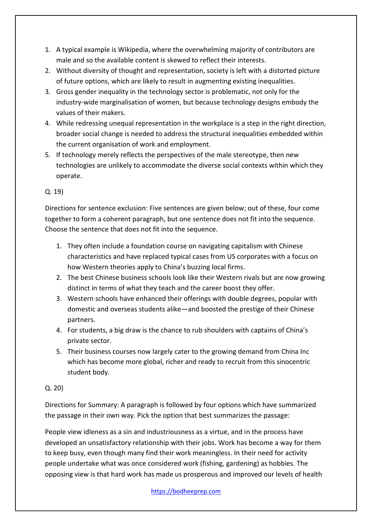- 1. A typical example is Wikipedia, where the overwhelming majority of contributors are male and so the available content is skewed to reflect their interests.
- 2. Without diversity of thought and representation, society is left with a distorted picture of future options, which are likely to result in augmenting existing inequalities.
- 3. Gross gender inequality in the technology sector is problematic, not only for the industry-wide marginalisation of women, but because technology designs embody the values of their makers.
- 4. While redressing unequal representation in the workplace is a step in the right direction, broader social change is needed to address the structural inequalities embedded within the current organisation of work and employment.
- 5. If technology merely reflects the perspectives of the male stereotype, then new technologies are unlikely to accommodate the diverse social contexts within which they operate.

## Q. 19)

Directions for sentence exclusion: Five sentences are given below; out of these, four come together to form a coherent paragraph, but one sentence does not fit into the sequence. Choose the sentence that does not fit into the sequence.

- 1. They often include a foundation course on navigating capitalism with Chinese characteristics and have replaced typical cases from US corporates with a focus on how Western theories apply to China's buzzing local firms.
- 2. The best Chinese business schools look like their Western rivals but are now growing distinct in terms of what they teach and the career boost they offer.
- 3. Western schools have enhanced their offerings with double degrees, popular with domestic and overseas students alike—and boosted the prestige of their Chinese partners.
- 4. For students, a big draw is the chance to rub shoulders with captains of China's private sector.
- 5. Their business courses now largely cater to the growing demand from China Inc which has become more global, richer and ready to recruit from this sinocentric student body.

## Q. 20)

Directions for Summary: A paragraph is followed by four options which have summarized the passage in their own way. Pick the option that best summarizes the passage:

People view idleness as a sin and industriousness as a virtue, and in the process have developed an unsatisfactory relationship with their jobs. Work has become a way for them to keep busy, even though many find their work meaningless. In their need for activity people undertake what was once considered work (fishing, gardening) as hobbies. The opposing view is that hard work has made us prosperous and improved our levels of health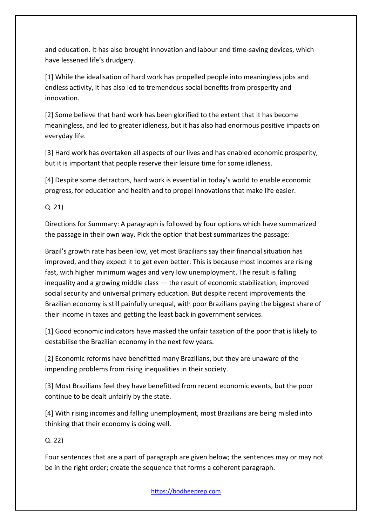and education. It has also brought innovation and labour and time-saving devices, which have lessened life's drudgery.

[1] While the idealisation of hard work has propelled people into meaningless jobs and endless activity, it has also led to tremendous social benefits from prosperity and innovation.

[2] Some believe that hard work has been glorified to the extent that it has become meaningless, and led to greater idleness, but it has also had enormous positive impacts on everyday life.

[3] Hard work has overtaken all aspects of our lives and has enabled economic prosperity, but it is important that people reserve their leisure time for some idleness.

[4] Despite some detractors, hard work is essential in today's world to enable economic progress, for education and health and to propel innovations that make life easier.

Q. 21)

Directions for Summary: A paragraph is followed by four options which have summarized the passage in their own way. Pick the option that best summarizes the passage:

Brazil's growth rate has been low, yet most Brazilians say their financial situation has improved, and they expect it to get even better. This is because most incomes are rising fast, with higher minimum wages and very low unemployment. The result is falling inequality and a growing middle class — the result of economic stabilization, improved social security and universal primary education. But despite recent improvements the Brazilian economy is still painfully unequal, with poor Brazilians paying the biggest share of their income in taxes and getting the least back in government services.

[1] Good economic indicators have masked the unfair taxation of the poor that is likely to destabilise the Brazilian economy in the next few years.

[2] Economic reforms have benefitted many Brazilians, but they are unaware of the impending problems from rising inequalities in their society.

[3] Most Brazilians feel they have benefitted from recent economic events, but the poor continue to be dealt unfairly by the state.

[4] With rising incomes and falling unemployment, most Brazilians are being misled into thinking that their economy is doing well.

Q. 22)

Four sentences that are a part of paragraph are given below; the sentences may or may not be in the right order; create the sequence that forms a coherent paragraph.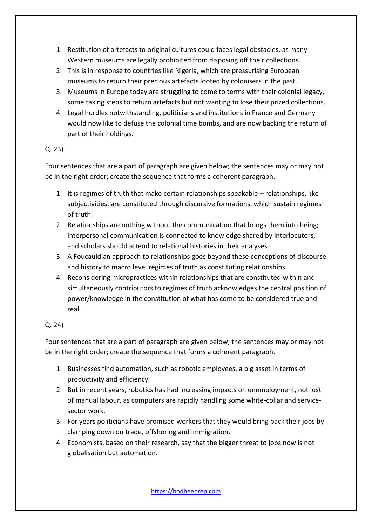- 1. Restitution of artefacts to original cultures could faces legal obstacles, as many Western museums are legally prohibited from disposing off their collections.
- 2. This is in response to countries like Nigeria, which are pressurising European museums to return their precious artefacts looted by colonisers in the past.
- 3. Museums in Europe today are struggling to come to terms with their colonial legacy, some taking steps to return artefacts but not wanting to lose their prized collections.
- 4. Legal hurdles notwithstanding, politicians and institutions in France and Germany would now like to defuse the colonial time bombs, and are now backing the return of part of their holdings.

## Q. 23)

Four sentences that are a part of paragraph are given below; the sentences may or may not be in the right order; create the sequence that forms a coherent paragraph.

- 1. It is regimes of truth that make certain relationships speakable relationships, like subjectivities, are constituted through discursive formations, which sustain regimes of truth.
- 2. Relationships are nothing without the communication that brings them into being; interpersonal communication is connected to knowledge shared by interlocutors, and scholars should attend to relational histories in their analyses.
- 3. A Foucauldian approach to relationships goes beyond these conceptions of discourse and history to macro level regimes of truth as constituting relationships.
- 4. Reconsidering micropractices within relationships that are constituted within and simultaneously contributors to regimes of truth acknowledges the central position of power/knowledge in the constitution of what has come to be considered true and real.

## Q. 24)

Four sentences that are a part of paragraph are given below; the sentences may or may not be in the right order; create the sequence that forms a coherent paragraph.

- 1. Businesses find automation, such as robotic employees, a big asset in terms of productivity and efficiency.
- 2. But in recent years, robotics has had increasing impacts on unemployment, not just of manual labour, as computers are rapidly handling some white-collar and servicesector work.
- 3. For years politicians have promised workers that they would bring back their jobs by clamping down on trade, offshoring and immigration.
- 4. Economists, based on their research, say that the bigger threat to jobs now is not globalisation but automation.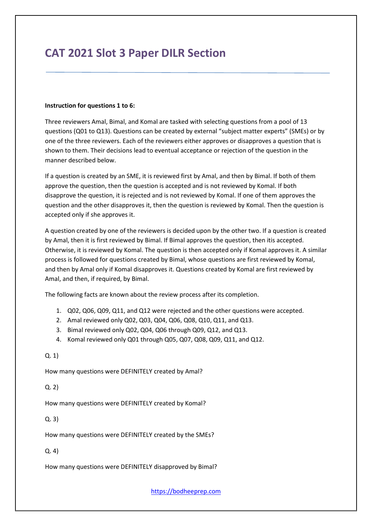# **CAT 2021 Slot 3 Paper DILR Section**

#### **Instruction for questions 1 to 6:**

Three reviewers Amal, Bimal, and Komal are tasked with selecting questions from a pool of 13 questions (Q01 to Q13). Questions can be created by external "subject matter experts" (SMEs) or by one of the three reviewers. Each of the reviewers either approves or disapproves a question that is shown to them. Their decisions lead to eventual acceptance or rejection of the question in the manner described below.

If a question is created by an SME, it is reviewed first by Amal, and then by Bimal. If both of them approve the question, then the question is accepted and is not reviewed by Komal. If both disapprove the question, it is rejected and is not reviewed by Komal. If one of them approves the question and the other disapproves it, then the question is reviewed by Komal. Then the question is accepted only if she approves it.

A question created by one of the reviewers is decided upon by the other two. If a question is created by Amal, then it is first reviewed by Bimal. If Bimal approves the question, then itis accepted. Otherwise, it is reviewed by Komal. The question is then accepted only if Komal approves it. A similar process is followed for questions created by Bimal, whose questions are first reviewed by Komal, and then by Amal only if Komal disapproves it. Questions created by Komal are first reviewed by Amal, and then, if required, by Bimal.

The following facts are known about the review process after its completion.

- 1. Q02, Q06, Q09, Q11, and Q12 were rejected and the other questions were accepted.
- 2. Amal reviewed only Q02, Q03, Q04, Q06, Q08, Q10, Q11, and Q13.
- 3. Bimal reviewed only Q02, Q04, Q06 through Q09, Q12, and Q13.
- 4. Komal reviewed only Q01 through Q05, Q07, Q08, Q09, Q11, and Q12.

#### Q. 1)

How many questions were DEFINITELY created by Amal?

Q. 2)

How many questions were DEFINITELY created by Komal?

Q. 3)

How many questions were DEFINITELY created by the SMEs?

### Q. 4)

How many questions were DEFINITELY disapproved by Bimal?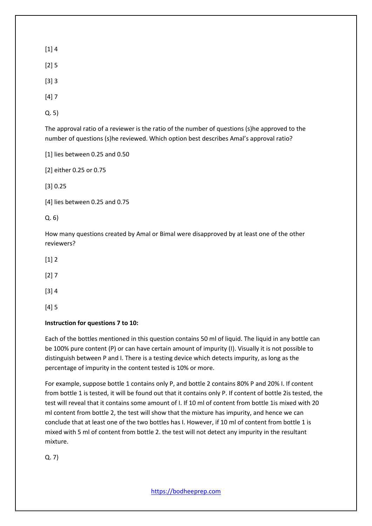[1] 4

[2] 5

[3] 3

[4] 7

Q. 5)

The approval ratio of a reviewer is the ratio of the number of questions (s)he approved to the number of questions (s)he reviewed. Which option best describes Amal's approval ratio?

[1] lies between 0.25 and 0.50

[2] either 0.25 or 0.75

[3] 0.25

[4] lies between 0.25 and 0.75

Q. 6)

How many questions created by Amal or Bimal were disapproved by at least one of the other reviewers?

 $[1] 2$ 

 $[2] 7$ 

[3] 4

[4] 5

### **Instruction for questions 7 to 10:**

Each of the bottles mentioned in this question contains 50 ml of liquid. The liquid in any bottle can be 100% pure content (P) or can have certain amount of impurity (I). Visually it is not possible to distinguish between P and I. There is a testing device which detects impurity, as long as the percentage of impurity in the content tested is 10% or more.

For example, suppose bottle 1 contains only P, and bottle 2 contains 80% P and 20% I. If content from bottle 1 is tested, it will be found out that it contains only P. If content of bottle 2is tested, the test will reveal that it contains some amount of I. If 10 ml of content from bottle 1is mixed with 20 ml content from bottle 2, the test will show that the mixture has impurity, and hence we can conclude that at least one of the two bottles has I. However, if 10 ml of content from bottle 1 is mixed with 5 ml of content from bottle 2. the test will not detect any impurity in the resultant mixture.

Q. 7)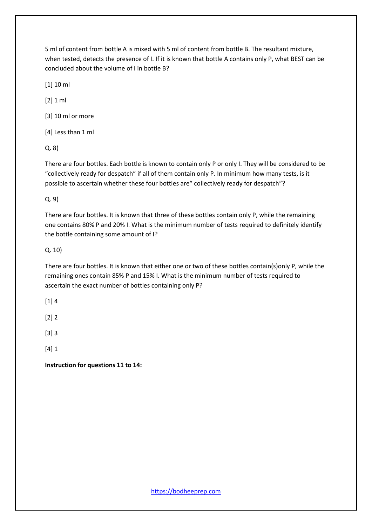5 ml of content from bottle A is mixed with 5 ml of content from bottle B. The resultant mixture, when tested, detects the presence of I. If it is known that bottle A contains only P, what BEST can be concluded about the volume of I in bottle B?

[1] 10 ml

[2] 1 ml

[3] 10 ml or more

[4] Less than 1 ml

Q. 8)

There are four bottles. Each bottle is known to contain only P or only I. They will be considered to be "collectively ready for despatch" if all of them contain only P. In minimum how many tests, is it possible to ascertain whether these four bottles are" collectively ready for despatch"?

Q. 9)

There are four bottles. It is known that three of these bottles contain only P, while the remaining one contains 80% P and 20% I. What is the minimum number of tests required to definitely identify the bottle containing some amount of I?

Q. 10)

There are four bottles. It is known that either one or two of these bottles contain(s)only P, while the remaining ones contain 85% P and 15% I. What is the minimum number of tests required to ascertain the exact number of bottles containing only P?

 $[1]$  4

[2] 2

[3] 3

[4] 1

**Instruction for questions 11 to 14:**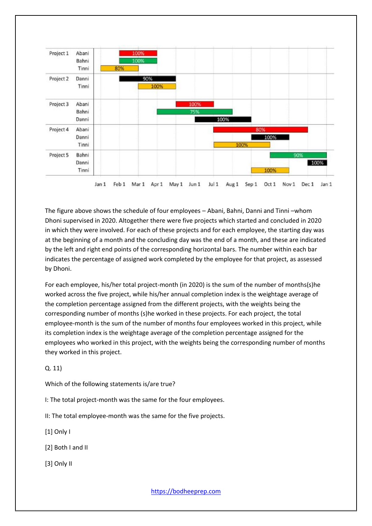

The figure above shows the schedule of four employees – Abani, Bahni, Danni and Tinni –whom Dhoni supervised in 2020. Altogether there were five projects which started and concluded in 2020 in which they were involved. For each of these projects and for each employee, the starting day was at the beginning of a month and the concluding day was the end of a month, and these are indicated by the left and right end points of the corresponding horizontal bars. The number within each bar indicates the percentage of assigned work completed by the employee for that project, as assessed by Dhoni.

For each employee, his/her total project-month (in 2020) is the sum of the number of months(s)he worked across the five project, while his/her annual completion index is the weightage average of the completion percentage assigned from the different projects, with the weights being the corresponding number of months (s)he worked in these projects. For each project, the total employee-month is the sum of the number of months four employees worked in this project, while its completion index is the weightage average of the completion percentage assigned for the employees who worked in this project, with the weights being the corresponding number of months they worked in this project.

Q. 11)

Which of the following statements is/are true?

I: The total project-month was the same for the four employees.

II: The total employee-month was the same for the five projects.

[1] Only I

[2] Both I and II

[3] Only II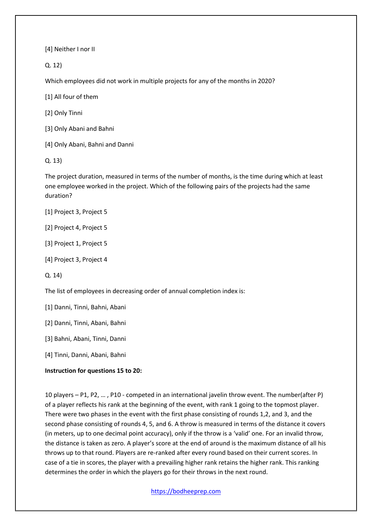[4] Neither I nor II

Q. 12)

Which employees did not work in multiple projects for any of the months in 2020?

[1] All four of them

[2] Only Tinni

[3] Only Abani and Bahni

[4] Only Abani, Bahni and Danni

Q. 13)

The project duration, measured in terms of the number of months, is the time during which at least one employee worked in the project. Which of the following pairs of the projects had the same duration?

[1] Project 3, Project 5

[2] Project 4, Project 5

[3] Project 1, Project 5

[4] Project 3, Project 4

Q. 14)

The list of employees in decreasing order of annual completion index is:

[1] Danni, Tinni, Bahni, Abani

[2] Danni, Tinni, Abani, Bahni

[3] Bahni, Abani, Tinni, Danni

[4] Tinni, Danni, Abani, Bahni

#### **Instruction for questions 15 to 20:**

10 players – P1, P2, … , P10 - competed in an international javelin throw event. The number(after P) of a player reflects his rank at the beginning of the event, with rank 1 going to the topmost player. There were two phases in the event with the first phase consisting of rounds 1,2, and 3, and the second phase consisting of rounds 4, 5, and 6. A throw is measured in terms of the distance it covers (in meters, up to one decimal point accuracy), only if the throw is a 'valid' one. For an invalid throw, the distance is taken as zero. A player's score at the end of around is the maximum distance of all his throws up to that round. Players are re-ranked after every round based on their current scores. In case of a tie in scores, the player with a prevailing higher rank retains the higher rank. This ranking determines the order in which the players go for their throws in the next round.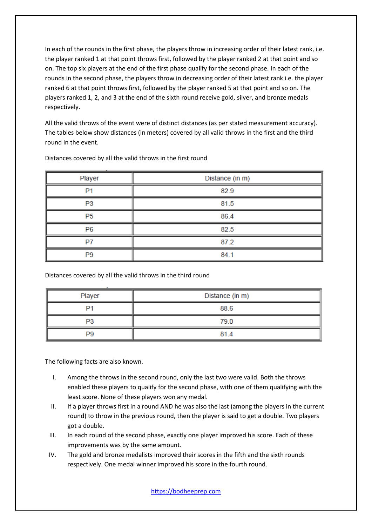In each of the rounds in the first phase, the players throw in increasing order of their latest rank, i.e. the player ranked 1 at that point throws first, followed by the player ranked 2 at that point and so on. The top six players at the end of the first phase qualify for the second phase. In each of the rounds in the second phase, the players throw in decreasing order of their latest rank i.e. the player ranked 6 at that point throws first, followed by the player ranked 5 at that point and so on. The players ranked 1, 2, and 3 at the end of the sixth round receive gold, silver, and bronze medals respectively.

All the valid throws of the event were of distinct distances (as per stated measurement accuracy). The tables below show distances (in meters) covered by all valid throws in the first and the third round in the event.

| Player         | Distance (in m) |  |  |  |
|----------------|-----------------|--|--|--|
| P <sub>1</sub> | 82.9            |  |  |  |
| P <sub>3</sub> | 81.5            |  |  |  |
| P <sub>5</sub> | 86.4            |  |  |  |
| P <sub>6</sub> | 82.5            |  |  |  |
| P7             | 87.2            |  |  |  |
| P <sub>9</sub> | 84.1            |  |  |  |

Distances covered by all the valid throws in the first round

Distances covered by all the valid throws in the third round

| Player | Distance (in m) |  |  |  |
|--------|-----------------|--|--|--|
| D.     | 88.6            |  |  |  |
| P3     | 79.0            |  |  |  |
| P9     | 81.4            |  |  |  |

The following facts are also known.

- I. Among the throws in the second round, only the last two were valid. Both the throws enabled these players to qualify for the second phase, with one of them qualifying with the least score. None of these players won any medal.
- II. If a player throws first in a round AND he was also the last (among the players in the current round) to throw in the previous round, then the player is said to get a double. Two players got a double.
- III. In each round of the second phase, exactly one player improved his score. Each of these improvements was by the same amount.
- IV. The gold and bronze medalists improved their scores in the fifth and the sixth rounds respectively. One medal winner improved his score in the fourth round.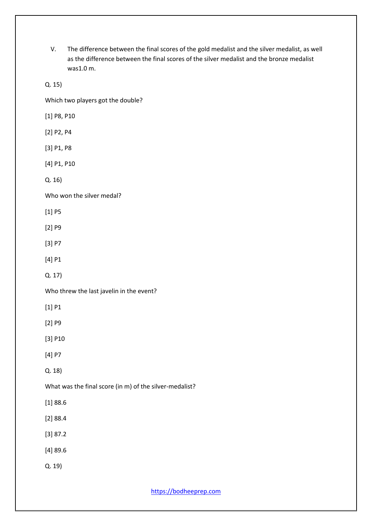V. The difference between the final scores of the gold medalist and the silver medalist, as well as the difference between the final scores of the silver medalist and the bronze medalist was1.0 m.

Q. 15)

Which two players got the double?

[1] P8, P10

[2] P2, P4

[3] P1, P8

[4] P1, P10

Q. 16)

Who won the silver medal?

[1] P5

[2] P9

[3] P7

[4] P1

Q. 17)

Who threw the last javelin in the event?

[1] P1

[2] P9

[3] P10

[4] P7

Q. 18)

What was the final score (in m) of the silver-medalist?

[1] 88.6

- [2] 88.4
- [3] 87.2
- [4] 89.6
- Q. 19)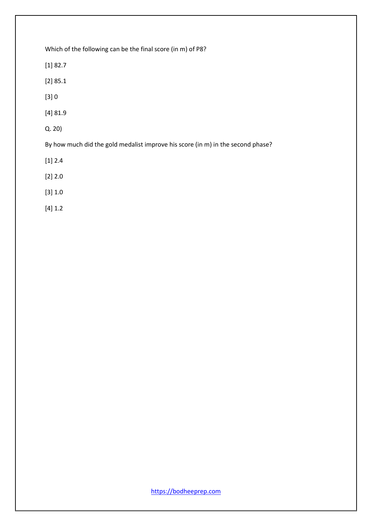Which of the following can be the final score (in m) of P8?

[1] 82.7

[2] 85.1

[3] 0

[4] 81.9

Q. 20)

By how much did the gold medalist improve his score (in m) in the second phase?

[1] 2.4

[2] 2.0

[3] 1.0

[4] 1.2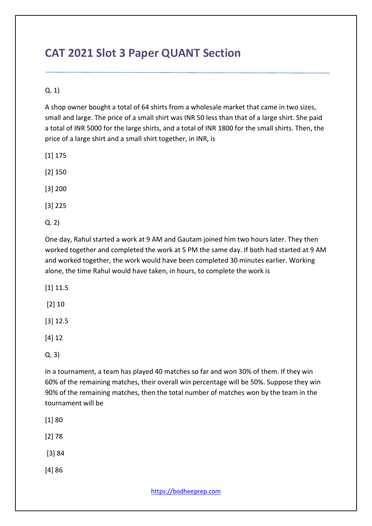# **CAT 2021 Slot 3 Paper QUANT Section**

## Q. 1)

A shop owner bought a total of 64 shirts from a wholesale market that came in two sizes, small and large. The price of a small shirt was INR 50 less than that of a large shirt. She paid a total of INR 5000 for the large shirts, and a total of INR 1800 for the small shirts. Then, the price of a large shirt and a small shirt together, in INR, is

[1] 175

[2] 150

[3] 200

[3] 225

Q. 2)

One day, Rahul started a work at 9 AM and Gautam joined him two hours later. They then worked together and completed the work at 5 PM the same day. If both had started at 9 AM and worked together, the work would have been completed 30 minutes earlier. Working alone, the time Rahul would have taken, in hours, to complete the work is

[1] 11.5

[2] 10

[3] 12.5

[4] 12

Q. 3)

In a tournament, a team has played 40 matches so far and won 30% of them. If they win 60% of the remaining matches, their overall win percentage will be 50%. Suppose they win 90% of the remaining matches, then the total number of matches won by the team in the tournament will be

[1] 80

[2] 78

[3] 84

[4] 86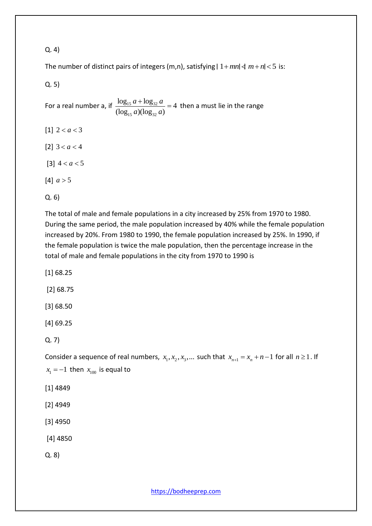### Q. 4)

The number of distinct pairs of integers (m,n), satisfying  $|1+mn| \le m+n < 5$  is:

Q. 5)

For a real number a, if  $\frac{\log_{15} a + \log_{32} a}{\log_{32} a}$  $_{15}$  a)(log<sub>32</sub>  $\frac{\log_{15} a + \log_{32} a}{a} = 4$  $\frac{1}{(\log_{15} a)(\log_{32} a)}$  $a + \log_{32} a$  $\frac{1}{a(\log_{32} a)}$  $\frac{+ \log_{32} a}{\log_{32} a} = 4$  then a must lie in the range

[1]  $2 < a < 3$ [2]  $3 < a < 4$ [3]  $4 < a < 5$  $[4]$   $a > 5$ 

Q. 6)

The total of male and female populations in a city increased by 25% from 1970 to 1980. During the same period, the male population increased by 40% while the female population increased by 20%. From 1980 to 1990, the female population increased by 25%. In 1990, if the female population is twice the male population, then the percentage increase in the total of male and female populations in the city from 1970 to 1990 is

[1] 68.25

[2] 68.75

[3] 68.50

[4] 69.25

Q. 7)

Consider a sequence of real numbers,  $x_1, x_2, x_3, ...$  such that  $x_{n+1} = x_n + n - 1$  for all  $n \ge 1$ . If  $x_1 = -1$  then  $x_{100}$  is equal to

- [1] 4849
- [2] 4949
- [3] 4950
- [4] 4850

Q. 8)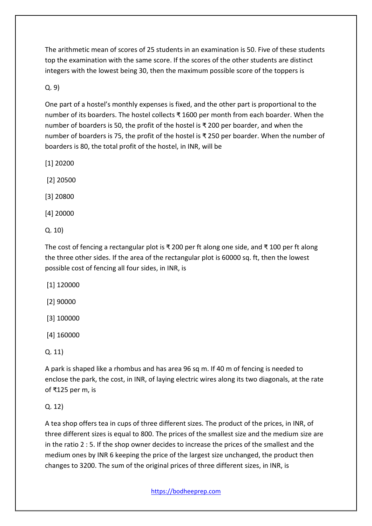The arithmetic mean of scores of 25 students in an examination is 50. Five of these students top the examination with the same score. If the scores of the other students are distinct integers with the lowest being 30, then the maximum possible score of the toppers is

Q. 9)

One part of a hostel's monthly expenses is fixed, and the other part is proportional to the number of its boarders. The hostel collects ₹ 1600 per month from each boarder. When the number of boarders is 50, the profit of the hostel is ₹ 200 per boarder, and when the number of boarders is 75, the profit of the hostel is ₹ 250 per boarder. When the number of boarders is 80, the total profit of the hostel, in INR, will be

[1] 20200

[2] 20500

[3] 20800

[4] 20000

Q. 10)

The cost of fencing a rectangular plot is ₹ 200 per ft along one side, and ₹ 100 per ft along the three other sides. If the area of the rectangular plot is 60000 sq. ft, then the lowest possible cost of fencing all four sides, in INR, is

[1] 120000

[2] 90000

[3] 100000

[4] 160000

Q. 11)

A park is shaped like a rhombus and has area 96 sq m. If 40 m of fencing is needed to enclose the park, the cost, in INR, of laying electric wires along its two diagonals, at the rate of ₹125 per m, is

## Q. 12)

A tea shop offers tea in cups of three different sizes. The product of the prices, in INR, of three different sizes is equal to 800. The prices of the smallest size and the medium size are in the ratio 2 : 5. If the shop owner decides to increase the prices of the smallest and the medium ones by INR 6 keeping the price of the largest size unchanged, the product then changes to 3200. The sum of the original prices of three different sizes, in INR, is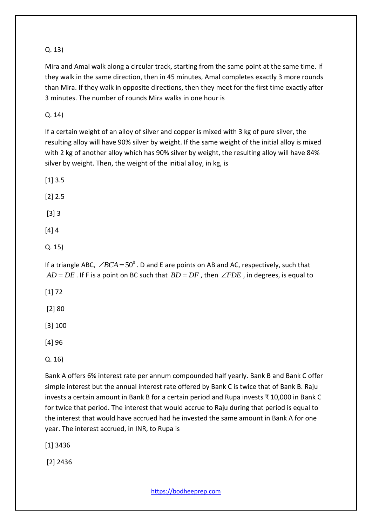## Q. 13)

Mira and Amal walk along a circular track, starting from the same point at the same time. If they walk in the same direction, then in 45 minutes, Amal completes exactly 3 more rounds than Mira. If they walk in opposite directions, then they meet for the first time exactly after 3 minutes. The number of rounds Mira walks in one hour is

Q. 14)

If a certain weight of an alloy of silver and copper is mixed with 3 kg of pure silver, the resulting alloy will have 90% silver by weight. If the same weight of the initial alloy is mixed with 2 kg of another alloy which has 90% silver by weight, the resulting alloy will have 84% silver by weight. Then, the weight of the initial alloy, in kg, is

[1] 3.5

[2] 2.5

[3] 3

[4] 4

Q. 15)

If a triangle ABC,  $\angle BCA = 50^\circ$ . D and E are points on AB and AC, respectively, such that  $AD = DE$  . If F is a point on BC such that  $BD = DF$  , then  $\angle FDE$  , in degrees, is equal to

[1] 72

[2] 80

[3] 100

[4] 96

Q. 16)

Bank A offers 6% interest rate per annum compounded half yearly. Bank B and Bank C offer simple interest but the annual interest rate offered by Bank C is twice that of Bank B. Raju invests a certain amount in Bank B for a certain period and Rupa invests ₹ 10,000 in Bank C for twice that period. The interest that would accrue to Raju during that period is equal to the interest that would have accrued had he invested the same amount in Bank A for one year. The interest accrued, in INR, to Rupa is

[1] 3436

[2] 2436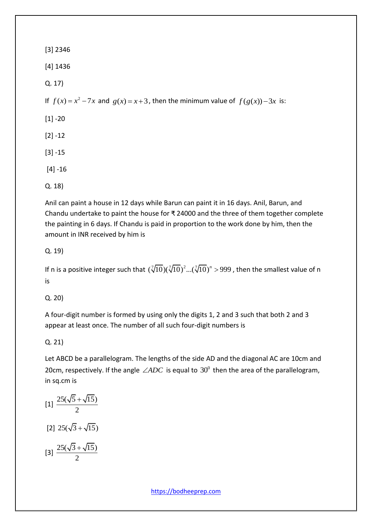[3] 2346

[4] 1436

Q. 17)

If  $f(x) = x^2 - 7x$  and  $g(x) = x + 3$ , then the minimum value of  $f(g(x)) - 3x$  is:

 $[1] - 20$ 

[2] -12

[3] -15

[4] -16

Q. 18)

Anil can paint a house in 12 days while Barun can paint it in 16 days. Anil, Barun, and Chandu undertake to paint the house for ₹ 24000 and the three of them together complete the painting in 6 days. If Chandu is paid in proportion to the work done by him, then the amount in INR received by him is

## Q. 19)

If n is a positive integer such that  $(\sqrt[7]{10})(\sqrt[7]{10})^2$ ... $(\sqrt[7]{10})^n >$  999, then the smallest value of n is

Q. 20)

A four-digit number is formed by using only the digits 1, 2 and 3 such that both 2 and 3 appear at least once. The number of all such four-digit numbers is

## Q. 21)

Let ABCD be a parallelogram. The lengths of the side AD and the diagonal AC are 10cm and 20cm, respectively. If the angle  $\angle ADC$  is equal to  $30^0$  then the area of the parallelogram, in sq.cm is

$$
[1] \frac{25(\sqrt{5} + \sqrt{15})}{2}
$$
  

$$
[2] 25(\sqrt{3} + \sqrt{15})
$$
  

$$
[3] \frac{25(\sqrt{3} + \sqrt{15})}{2}
$$

 $2^{\circ}$